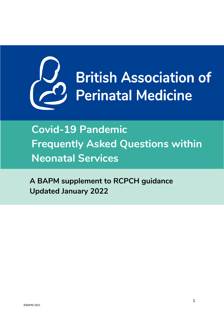

**A BAPM supplement to RCPCH guidance Updated January 2022**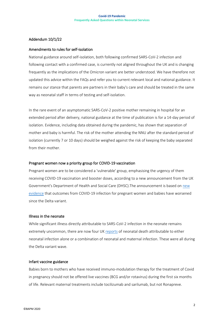### <span id="page-1-0"></span>Addendum 10/1/22

#### Amendments to rules for self-isolation

National guidance around self-isolation, both following confirmed SARS-CoV-2 infection and following contact with a confirmed case, is currently not aligned throughout the UK and is changing frequently as the implications of the Omicron variant are better understood. We have therefore not updated this advice within the FAQs and refer you to current relevant local and national guidance. It remains our stance that parents are partners in their baby's care and should be treated in the same way as neonatal staff in terms of testing and self-isolation.

In the rare event of an asymptomatic SARS-CoV-2 positive mother remaining in hospital for an extended period after delivery, national guidance at the time of publication is for a 14-day period of isolation. Evidence, including data obtained during the pandemic, has shown that separation of mother and baby is harmful. The risk of the mother attending the NNU after the standard period of isolation (currently 7 or 10 days) should be weighed against the risk of keeping the baby separated from their mother.

### Pregnant women now a priority group for COVID-19 vaccination

Pregnant women are to be considered a 'vulnerable' group, emphasising the urgency of them receiving COVID-19 vaccination and booster doses, according to a new announcement from the UK Government's Department of Health and Social Care (DHSC).The announcement is based on [new](https://www.npeu.ox.ac.uk/news/2194-pregnant-women-now-a-priority-group-for-covid-19-vaccination)  [evidence](https://www.npeu.ox.ac.uk/news/2194-pregnant-women-now-a-priority-group-for-covid-19-vaccination) that outcomes from COVID-19 infection for pregnant women and babies have worsened since the Delta variant.

#### Illness in the neonate

While significant illness directly attributable to SARS-CoV-2 infection in the neonate remains extremely uncommon, there are now four UK [reports](https://www.npeu.ox.ac.uk/news/2194-pregnant-women-now-a-priority-group-for-covid-19-vaccination) of neonatal death attributable to either neonatal infection alone or a combination of neonatal and maternal infection. These were all during the Delta variant wave.

#### Infant vaccine guidance

Babies born to mothers who have received immuno-modulation therapy for the treatment of Covid in pregnancy should not be offered live vaccines (BCG and/or rotavirus) during the first six months of life. Relevant maternal treatments include tocilizumab and sarilumab, but not Ronapreve.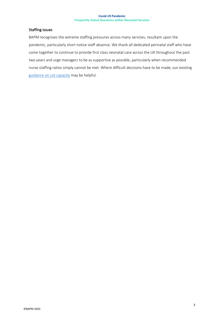### Staffing issues

BAPM recognises the extreme staffing pressures across many services, resultant upon the pandemic, particularly short notice staff absence. We thank all dedicated perinatal staff who have come together to continue to provide first class neonatal care across the UK throughout the past two years and urge managers to be as supportive as possible, particularly when recommended nurse staffing ratios simply cannot be met. Where difficult decisions have to be made, our existing [guidance on cot capacity](https://www.bapm.org/resources/157-calculating-unit-cot-numbers-and-nurse-staffing-establishment-and-determining-cot-capacity) may be helpful.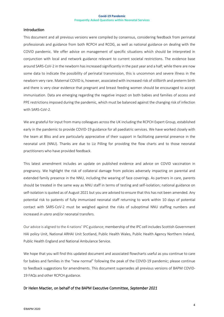#### <span id="page-3-0"></span>**Introduction**

This document and all previous versions were compiled by consensus, considering feedback from perinatal professionals and guidance from both RCPCH and RCOG, as well as national guidance on dealing with the COVID pandemic. We offer advice on management of specific situations which should be interpreted in conjunction with local and network guidance relevant to current societal restrictions. The evidence base around SARS-CoV-2 in the newborn has increased significantly in the past year and a half; while there are now some data to indicate the possibility of perinatal transmission, this is uncommon and severe illness in the newborn very rare. Maternal COVID is, however, associated with increased risk of stillbirth and preterm birth and there is very clear evidence that pregnant and breast feeding women should be encouraged to accept immunisation. Data are emerging regarding the negative impact on both babies and families of access and PPE restrictions imposed during the pandemic, which must be balanced against the changing risk of infection with SARS-CoV-2.

We are grateful for input from many colleagues across the UK including the RCPCH Expert Group, established early in the pandemic to provide COVID-19 guidance for all paediatric services. We have worked closely with the team at Bliss and are particularly appreciative of their support in facilitating parental presence in the neonatal unit (NNU). Thanks are due to Liz Pilling for providing the flow charts and to those neonatal practitioners who have provided feedback.

This latest amendment includes an update on published evidence and advice on COVID vaccination in pregnancy. We highlight the risk of collateral damage from policies adversely impacting on parental and extended family presence in the NNU, including the wearing of face coverings. As partners in care, parents should be treated in the same way as NNU staff in terms of testing and self-isolation; national guidance on self-isolation is quoted as of August 2021 but you are advised to ensure that this has not been amended. Any potential risk to patients of fully immunised neonatal staff returning to work within 10 days of potential contact with SARS-CoV-2 must be weighed against the risks of suboptimal NNU staffing numbers and increased *in utero* and/or neonatal transfers.

Our advice is aligned to the 4 nations' IPC guidance; membership of the IPC cell includes Scottish Government HAI policy Unit, National ARHAI Unit Scotland, Public Health Wales, Public Health Agency Northern Ireland, Public Health England and National Ambulance Service.

We hope that you will find this updated document and associated flowcharts useful as you continue to care for babies and families in the "new normal" following the peak of the COVID-19 pandemic; please continue to feedback suggestions for amendments. This document supersedes all previous versions of BAPM COVID-19 FAQs and other RCPCH guidance.

#### Dr Helen Mactier*,* on behalf of the BAPM Executive Committee, *September 2021*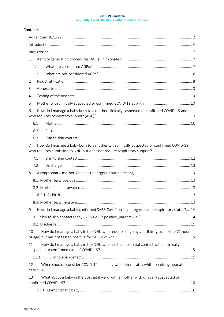## **Contents**

| 1.                                                                                                                                                                          |  |
|-----------------------------------------------------------------------------------------------------------------------------------------------------------------------------|--|
| 1.1                                                                                                                                                                         |  |
| 1.2                                                                                                                                                                         |  |
| $\overline{2}$                                                                                                                                                              |  |
| 3                                                                                                                                                                           |  |
| 4                                                                                                                                                                           |  |
| 5                                                                                                                                                                           |  |
| How do I manage a baby born to a mother clinically suspected or confirmed COVID-19 and<br>6                                                                                 |  |
| 6.1                                                                                                                                                                         |  |
| 6.2                                                                                                                                                                         |  |
| 6.3                                                                                                                                                                         |  |
| How do I manage a baby born to a mother with clinically suspected or confirmed COVID-19<br>7<br>who requires admission to NNU but does not require respiratory support?  11 |  |
| 7.1                                                                                                                                                                         |  |
| 7.2                                                                                                                                                                         |  |
| 8                                                                                                                                                                           |  |
|                                                                                                                                                                             |  |
|                                                                                                                                                                             |  |
|                                                                                                                                                                             |  |
|                                                                                                                                                                             |  |
| How do I manage a baby confirmed SARS-CoV-2 positive, regardless of respiratory status? 14<br>9                                                                             |  |
|                                                                                                                                                                             |  |
|                                                                                                                                                                             |  |
| How do I manage a baby in the NNU who requires ongoing ventilatory support (> 72 hours<br>10                                                                                |  |
| How do I manage a baby in the NNU who has had postnatal contact with a clinically<br>11                                                                                     |  |
| 11.1                                                                                                                                                                        |  |
| When should I consider COVID-19 in a baby who deteriorates whilst receiving neonatal<br>12<br>care?<br>16                                                                   |  |
| What about a baby in the postnatal ward with a mother with clinically suspected or<br>13                                                                                    |  |
|                                                                                                                                                                             |  |
|                                                                                                                                                                             |  |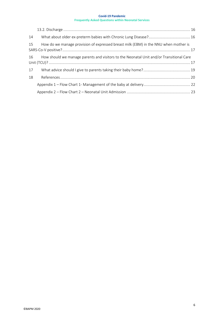| 14 |                                                                                            |  |
|----|--------------------------------------------------------------------------------------------|--|
| 15 | How do we manage provision of expressed breast milk (EBM) in the NNU when mother is        |  |
|    | 16 How should we manage parents and visitors to the Neonatal Unit and/or Transitional Care |  |
| 17 |                                                                                            |  |
| 18 |                                                                                            |  |
|    |                                                                                            |  |
|    |                                                                                            |  |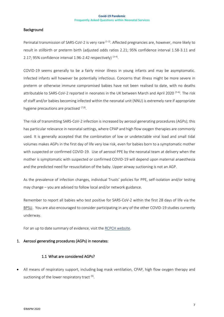## <span id="page-6-0"></span>**Background**

Perinatal transmission of SARS-CoV-2 is very rare <sup>(1-2)</sup>. Affected pregnancies are, however, more likely to result in stillbirth or preterm birth (adjusted odds ratios 2.21; 95% confidence interval 1.58-3.11 and 2.17; 95% confidence interval 1.96-2.42 respectively)  $(3-4)$ .

COVID-19 seems generally to be a fairly minor illness in young infants and may be asymptomatic. Infected infants will however be potentially infectious. Concerns that illness might be more severe in preterm or otherwise immune compromised babies have not been realised to date, with no deaths attributable to SARS-CoV-2 reported in neonates in the UK between March and April 2020 <sup>(5-6)</sup>. The risk of staff and/or babies becoming infected within the neonatal unit (NNU) is extremely rare if appropriate hygiene precautions are practised <sup>(7,8)</sup>.

The risk of transmitting SARS-CoV-2 infection is increased by aerosol generating procedures (AGPs); this has particular relevance in neonatal settings, where CPAP and high flow oxygen therapies are commonly used. It is generally accepted that the combination of low or undetectable viral load and small tidal volumes makes AGPs in the first day of life very low risk, even for babies born to a symptomatic mother with suspected or confirmed COVID-19. Use of aerosol PPE by the neonatal team at delivery when the mother is symptomatic with suspected or confirmed COVID-19 will depend upon maternal anaesthesia and the predicted need for resuscitation of the baby. Upper airway suctioning is not an AGP.

As the prevalence of infection changes, individual Trusts' policies for PPE, self-isolation and/or testing may change – you are advised to follow local and/or network guidance.

Remember to report all babies who test positive for SARS-CoV-2 within the first 28 days of life via the [BPSU.](https://www.rcpch.ac.uk/bpsu-study-neonatal-complications-coronavirus-disease-covid-19) You are also encouraged to consider participating in any of the other COVID-19 studies currently underway.

For an up to date summary of evidence, visit the [RCPCH website.](https://www.rcpch.ac.uk/resources/covid-19-research-evidence-summaries#neonatal)

## <span id="page-6-1"></span>1. Aerosol generating procedures (AGPs) in neonates:

## <span id="page-6-2"></span>1.1 What are considered AGPs?

• All means of respiratory support, including bag mask ventilation, CPAP, high flow oxygen therapy and suctioning of the lower respiratory tract  $\overset{\text{\tiny{(9)}}}{ }$ .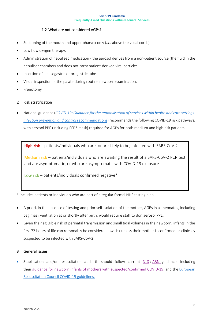## <span id="page-7-0"></span>1.2 What are not considered AGPs?

- Suctioning of the mouth and upper pharynx only (*i.e.* above the vocal cords).
- Low flow oxygen therapy.
- Administration of nebulised medication the aerosol derives from a non-patient source (the fluid in the nebuliser chamber) and does not carry patient-derived viral particles.
- Insertion of a nasogastric or orogastric tube.
- Visual inspection of the palate during routine newborn examination.
- **Frenotomy**

## <span id="page-7-1"></span>2 Risk stratification

• National guidance (*[COVID-19: Guidance for the remobilisation of services within health and care settings.](https://assets.publishing.service.gov.uk/government/uploads/system/uploads/attachment_data/file/990923/20210602_Infection_Prevention_and_Control_Guidance_for_maintaining_services_with_H_and_C_settings__1_.pdf) [Infection prevention and control](https://assets.publishing.service.gov.uk/government/uploads/system/uploads/attachment_data/file/990923/20210602_Infection_Prevention_and_Control_Guidance_for_maintaining_services_with_H_and_C_settings__1_.pdf)* recommendations) recommends the following COVID-19 risk pathways, with aerosol PPE (including FFP3 mask) required for AGPs for both medium and high risk patients:

High risk – patients/individuals who are, or are likely to be, infected with SARS-CoV-2.

Medium risk – patients/individuals who are awaiting the result of a SARS-CoV-2 PCR test and are asymptomatic, or who are asymptomatic with COVID-19 exposure.

Low risk – patients/individuals confirmed negative\*.

\* includes patients or individuals who are part of a regular formal NHS testing plan.

- A priori, in the absence of testing and prior self-isolation of the mother, AGPs in all neonates, including bag mask ventilation at or shortly after birth, would require staff to don aerosol PPE.
- Given the negligible risk of perinatal transmission and small tidal volumes in the newborn, infants in the first 72 hours of life can reasonably be considered low risk unless their mother is confirmed or clinically suspected to be infected with SARS-CoV-2.

### <span id="page-7-2"></span>3 General issues

• Stabilisation and/or resuscitation at birth should follow current [NLS](https://www.resus.org.uk/training-courses/newborn-life-support/arni-advanced-resuscitation-newborn-infant) / [ARNI](https://www.resus.org.uk/training-courses/newborn-life-support/arni-advanced-resuscitation-newborn-infant) guidance, including their guidance for newborn infants of mothers with [suspected/confirmed](https://www.resus.org.uk/covid-19-resources/covid-19-resources-newborn-life-support) COVID-19, and the [European](https://www.erc.edu/sites/5714e77d5e615861f00f7d18/content_entry5ea884fa4c84867335e4d1ff/5ea885f34c84867335e4d20e/files/ERC_covid19_pages.pdf?1588257310) [Resuscitation](https://www.erc.edu/sites/5714e77d5e615861f00f7d18/content_entry5ea884fa4c84867335e4d1ff/5ea885f34c84867335e4d20e/files/ERC_covid19_pages.pdf?1588257310) Council COVID-19 guidelines.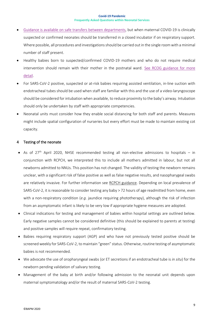- Guidance is available on safe transfers between [departments,](https://www.gov.uk/government/publications/wuhan-novel-coronavirus-infection-prevention-and-control) but when maternal COVID-19 is clinically suspected or confirmed neonates should be transferred in a closed incubator if on respiratory support. Where possible, all procedures and investigations should be carried out in the single room with a minimal number of staff present.
- Healthy babies born to suspected/confirmed COVID-19 mothers and who do not require medical intervention should remain with their mother in the postnatal ward. See RCOG [guidance](https://www.rcog.org.uk/en/guidelines-research-services/guidelines/coronavirus-pregnancy/) for more [detail.](https://www.rcog.org.uk/en/guidelines-research-services/guidelines/coronavirus-pregnancy/)
- For SARS-CoV-2 positive, suspected or at-risk babies requiring assisted ventilation, in-line suction with endotracheal tubes should be used when staff are familiar with this and the use of a video-laryngoscope should be considered for intubation when available, to reduce proximity to the baby's airway. Intubation should only be undertaken by staff with appropriate competencies.
- Neonatal units must consider how they enable social distancing for both staff and parents. Measures might include spatial configuration of nurseries but every effort must be made to maintain existing cot capacity.

## <span id="page-8-0"></span>4 Testing of the neonate

- As of  $27<sup>th</sup>$  April 2020, NHSE recommended testing all non-elective admissions to hospitals in conjunction with RCPCH, we interpreted this to include all mothers admitted in labour, but not all newborns admitted to NNUs. This position has not changed. The validity of testing the newborn remains unclear, with a significant risk of false positive as well as false negative results, and nasopharygeal swabs are relatively invasive. For further information see [RCPCH guidance.](https://www.rcpch.ac.uk/resources/covid-19-guidance-paediatric-services?fbclid=IwAR0t6yJsJ_r1Io0TVCaEA3pgpwkcD_ItN1ZRAAg09xHUMDB4SInl2WOtv-k#neonatal-settings) Depending on local prevalence of SARS-CoV-2, it is reasonable to consider testing any baby > 72 hours of age readmitted from home, even with a non-respiratory condition (*e.g.* jaundice requiring phototherapy), although the risk of infection from an asymptomatic infant is likely to be very low if appropriate hygiene measures are adopted.
- Clinical indications for testing and management of babies within hospital settings are outlined below. Early negative samples cannot be considered definitive (this should be explained to parents at testing) and positive samples will require repeat, confirmatory testing.
- Babies requiring respiratory support (AGP) and who have not previously tested positive should be screened weekly for SARS-CoV-2, to maintain "green" status. Otherwise, routine testing of asymptomatic babies is not recommended.
- We advocate the use of oropharyngeal swabs (or ET secretions if an endotracheal tube is *in situ*) for the newborn pending validation of salivary testing.
- Management of the baby at birth and/or following admission to the neonatal unit depends upon maternal symptomatology and/or the result of maternal SARS-CoV-2 testing.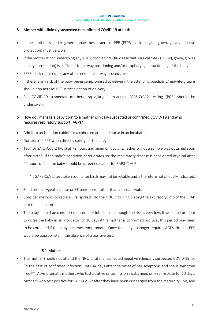## <span id="page-9-0"></span>5 Mother with clinically suspected or confirmed COVID-19 at birth

- If the mother is under general anaesthesia, aerosol PPE (FFP3 mask, surgical gown, gloves and eye protection) must be worn.
- If the mother is not undergoing any AGPs, droplet PPE (fluid resistant surgical mask (FRSM), gown, gloves and eye protection) is sufficient for airway positioning and/or oropharyngeal suctioning of the baby.
- FFP3 mask required for any other neonatal airway procedures.
- If there is any risk of the baby being compromised at delivery, the attending paediatric/midwifery team should don aerosol PPE in anticipation of delivery.
- For COVID-19 suspected mothers, rapid/urgent maternal SARS-CoV-2 testing (PCR) should be undertaken.

## <span id="page-9-1"></span>6 How do I manage a baby born to a mother clinically suspected or confirmed COVID-19 and who requires respiratory support (AGP)?

- Admit to an isolation cubicle or a cohorted area and nurse in an incubator.
- Don aerosol PPE when directly caring for the baby.
- Test for SARS-CoV-2 (PCR) at 72 hours and again on day 5, whether or not a sample was obtained soon after birth\*. If the baby's condition deteriorates, or the respiratory disease is considered atypical after 24 hours of life, the baby should be screened earlier for SARS-CoV-2.

\* a SARS-CoV-2 test taken soon after birth may not be reliable and is therefore not clinically indicated.

- Send oropharygeal aspirate or ET secretions, rather than a throat swab.
- Consider methods to reduce viral spread into the NNU including placing the expiratory limb of the CPAP into the incubator.
- The baby should be considered potentially infectious, although the risk is very low. It would be prudent to nurse the baby in an incubator for 10 days if the mother is confirmed positive; this period may need to be extended if the baby becomes symptomatic. Once the baby no longer requires AGPs, droplet PPE would be appropriate in the absence of a positive test.

## <span id="page-9-2"></span>6.1 Mother

• The mother should not attend the NNU until she has tested negative (clinically suspected COVID-19) or (in the case of confirmed infection) until 14 days after the onset of her symptoms and she is symptom free <sup>(10)</sup>. Asymptomatic mothers who test positive on admission swabs need only self-isolate for 10 days. Mothers who test positive for SARS-CoV-2 after they have been discharged from the maternity unit, and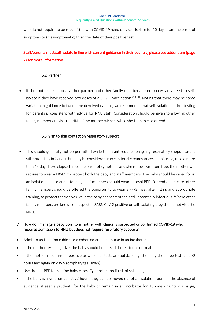who do not require to be readmitted with COVID-19 need only self-isolate for 10 days from the onset of symptoms or (if asymptomatic) from the date of their positive test.

# Staff/parents must self-isolate in line with current guidance in their country, please see addendum (page 2) for more information.

## <span id="page-10-0"></span>6.2 Partner

• If the mother tests positive her partner and other family members do not necessarily need to selfisolate if they have received two doses of a COVID vaccination <sup>(10,11)</sup>. Noting that there may be some variation in guidance between the devolved nations, we recommend that self-isolation and/or testing for parents is consistent with advice for NNU staff. Consideration should be given to allowing other family members to visit the NNU if the mother wishes, while she is unable to attend.

## <span id="page-10-1"></span>6.3 Skin to skin contact on respiratory support

This should generally not be permitted while the infant requires on-going respiratory support and is still potentially infectious but may be considered in exceptional circumstances. In this case, unless more than 14 days have elapsed since the onset of symptoms and she is now symptom free, the mother will require to wear a FRSM, to protect both the baby and staff members. The baby should be cared for in an isolation cubicle and attending staff members should wear aerosol PPE. For end of life care, other family members should be offered the opportunity to wear a FFP3 mask after fitting and appropriate training, to protect themselves while the baby and/or mother is still potentially infectious. Where other family members are known or suspected SARS-CoV-2 positive or self-isolating they should not visit the NNU.

## <span id="page-10-2"></span>7 How do I manage a baby born to a mother with clinically suspected or confirmed COVID-19 who requires admission to NNU but does not require respiratory support?

- Admit to an isolation cubicle or a cohorted area and nurse in an incubator.
- If the mother tests negative, the baby should be nursed thereafter as normal.
- If the mother is confirmed positive or while her tests are outstanding, the baby should be tested at 72 hours and again on day 5 (oropharygeal swab).
- Use droplet PPE for routine baby cares. Eye protection if risk of splashing.
- If the baby is asymptomatic at 72 hours, they can be moved out of an isolation room; in the absence of evidence, it seems prudent for the baby to remain in an incubator for 10 days or until discharge,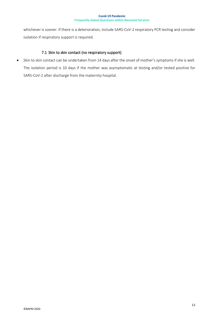whichever is sooner. If there is a deterioration, include SARS-CoV-2 respiratory PCR testing and consider isolation if respiratory support is required.

## <span id="page-11-0"></span>7.1 Skin to skin contact (no respiratory support)

• Skin to skin contact can be undertaken from 14 days after the onset of mother's symptoms if she is well. The isolation period is 10 days if the mother was asymptomatic at testing and/or tested positive for SARS-CoV-2 after discharge from the maternity hospital.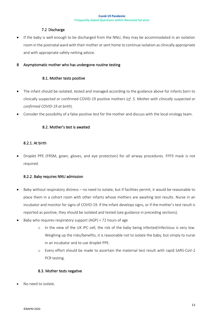### <span id="page-12-0"></span>7.2 Discharge

• If the baby is well enough to be discharged from the NNU, they may be accommodated in an isolation room in the postnatal ward with their mother or sent home to continue isolation as clinically appropriate and with appropriate safety netting advice.

## <span id="page-12-1"></span>8 Asymptomatic mother who has undergone routine testing

### <span id="page-12-2"></span>8.1. Mother tests positive

- The infant should be isolated, tested and managed according to the guidance above for infants born to clinically suspected or confirmed COVID-19 positive mothers (*cf. 5. Mother with clinically suspected or confirmed COVID-19 at birth*).
- Consider the possibility of a false positive test for the mother and discuss with the local virology team.

## <span id="page-12-3"></span>8.2. Mother's test is awaited

## <span id="page-12-4"></span>8.2.1. At birth

• Droplet PPE (FRSM, gown, gloves, and eye protection) for *all* airway procedures. FFP3 mask is not required.

### 8.2.2. Baby requires NNU admission

- Baby without respiratory distress no need to isolate, but if facilities permit, it would be reasonable to place them in a cohort room with other infants whose mothers are awaiting test results. Nurse in an incubator and monitor for signs of COVID-19. If the infant develops signs, or if the mother's test result is reported as positive, they should be isolated and tested (see guidance in preceding sections).
- Baby who requires respiratory support (AGP) < 72 hours of age
	- o In the view of the UK IPC cell, the risk of the baby being infected/infectious is very low. Weighing up the risks/benefits, it is reasonable not to isolate the baby, but simply to nurse in an incubator and to use droplet PPE.
	- o Every effort should be made to ascertain the maternal test result with rapid SARS-CoV-2 PCR testing.

### <span id="page-12-5"></span>8.3. Mother tests negative

No need to isolate.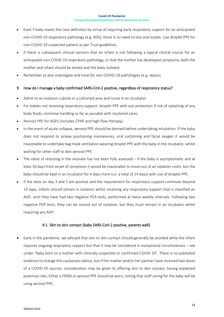- Even if baby meets the case definition by virtue of requiring early respiratory support for an anticipated non-COVID-19 respiratory pathology (e.g. RDS), there is no need to test and isolate. Use droplet PPE for non-COVID-19 suspected patient as per Trust guidelines.
- If there is subsequent clinical concern that an infant is not following a typical clinical course for an anticipated non-COVID-19 respiratory pathology, or that the mother has developed symptoms, both the mother and infant should be tested and the baby isolated.
- Remember to also investigate and treat for non-COVID-19 pathologies (*e.g.* sepsis).

## <span id="page-13-0"></span>9 How do I manage a baby confirmed SARS-CoV-2 positive, regardless of respiratory status?

- Admit to an isolation cubicle or a cohorted area and nurse in an incubator.
- For babies not receiving respiratory support, droplet PPE with eye protection if risk of splashing of any body fluids; minimise handling as far as possible with clustered cares.
- Aerosol PPE for AGPs (includes CPAP and high flow therapy).
- In the event of acute collapse, aerosol PPE should be donned before undertaking intubation. If the baby does not respond to airway positioning manoeuvres, oral suctioning and facial oxygen it would be reasonable to undertake bag mask ventilation wearing droplet PPE with the baby in the incubator, whilst waiting for other staff to don aerosol PPE.
- The value of retesting in the neonate has not been fully assessed if the baby is asymptomatic and at least 10 days from onset of symptoms it would be reasonable to move out of an isolation room, but the baby should be kept in an incubator for 4 days more (*i.e.* a total of 14 days) with use of droplet PPE.
- If the tests on day 3 and 5 are positive and the requirement for respiratory support continues beyond 14 days, infants should remain in isolation whilst receiving any respiratory support that is classified an AGP, until they have had two negative PCR tests, performed at twice-weekly intervals. Following two negative PCR tests, they can be moved out of isolation, but they must remain in an incubator whilst requiring any AGP.

### <span id="page-13-1"></span>9.1. Skin to skin contact (baby SARS-CoV-2 positive, parents well)

• Early in the pandemic, we advised that skin to skin contact should generally be avoided while the infant requires ongoing respiratory support but that it may be considered in exceptional circumstances – see under "baby born to a mother with clinically suspected or confirmed COVID-19". There is no published evidence to change this cautionary advice, but if the mother and/or her partner have received two doses of a COVID-19 vaccine, consideration may be given to offering skin to skin contact, having explained potential risks. Either a FRSM or aerosol PPE should be worn, noting that staff caring for the baby will be using aerosol PPE.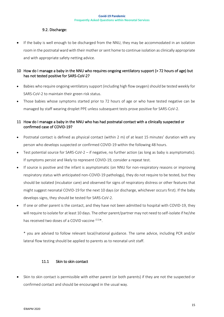## <span id="page-14-0"></span>9.2. Discharge:

If the baby is well enough to be discharged from the NNU, they may be accommodated in an isolation room in the postnatal ward with their mother or sent home to continue isolation as clinically appropriate and with appropriate safety netting advice.

## <span id="page-14-1"></span>10 How do I manage a baby in the NNU who requires ongoing ventilatory support (> 72 hours of age) but has not tested positive for SARS-CoV-2?

- Babies who require ongoing ventilatory support (including high flow oxygen) should be tested weekly for SARS-CoV-2 to maintain their green risk status.
- Those babies whose symptoms started prior to 72 hours of age or who have tested negative can be managed by staff wearing droplet PPE unless subsequent tests prove positive for SARS-CoV-2.

## <span id="page-14-2"></span>11 How do I manage a baby in the NNU who has had postnatal contact with a clinically suspected or confirmed case of COVID-19?

- Postnatal contact is defined as physical contact (within 2 m) of at least 15 minutes' duration with any person who develops suspected or confirmed COVID-19 within the following 48 hours.
- Test potential source for SARS-CoV-2 if negative, no further action (as long as baby is asymptomatic). If symptoms persist and likely to represent COVID-19, consider a repeat test.
- If source is positive and the infant is asymptomatic (on NNU for non-respiratory reasons or improving respiratory status with anticipated non-COVID-19 pathology), they do not require to be tested, but they should be isolated (incubator care) and observed for signs of respiratory distress or other features that might suggest neonatal COVID-19 for the next 10 days (or discharge, whichever occurs first). If the baby develops signs, they should be tested for SARS-CoV-2.
- If one or other parent is the contact, and they have not been admitted to hospital with COVID-19, they will require to isolate for at least 10 days. The other parent/partner may not need to self-isolate if he/she has received two doses of a COVID vaccine  $(11)*$ .

\* you are advised to follow relevant local/national guidance. The same advice, including PCR and/or lateral flow testing should be applied to parents as to neonatal unit staff.

## <span id="page-14-3"></span>11.1 Skin to skin contact

Skin to skin contact is permissible with either parent (or both parents) if they are not the suspected or confirmed contact and should be encouraged in the usual way.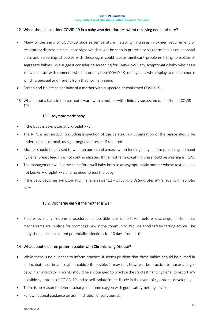### <span id="page-15-0"></span>12 When should I consider COVID-19 in a baby who deteriorates whilst receiving neonatal care?

- Many of the signs of COVID-19 such as temperature instability, increase in oxygen requirement or respiratory distress are similar to signs which might be seen in preterm or sick term babies on neonatal units and screening all babies with these signs could create significant problems trying to isolate or segregate babies. We suggest considering screening for SARS-CoV-2 any symptomatic baby who has a known contact with someone who has or may have COVID-19, or any baby who displays a clinical course which is unusual or different from that normally seen.
- Screen and isolate as per baby of a mother with suspected or confirmed COVID-19.
- <span id="page-15-1"></span>13 What about a baby in the postnatal ward with a mother with clinically suspected or confirmed COVID-19?

## <span id="page-15-2"></span>13.1. Asymptomatic baby

- If the baby is asymptomatic, droplet PPE.
- The NIPE is not an AGP (including inspection of the palate). Full visualisation of the palate should be undertaken as normal, using a tongue depressor if required.
- Mother should be advised to wear an apron and a mask when feeding baby, and to practise good hand hygiene. Breast feeding is not contraindicated. If the mother is coughing, she should be wearing a FRSM.
- The management will be the same for a well baby born to an asymptomatic mother whose test result is not known – droplet PPE and no need to test the baby.
- If the baby becomes symptomatic, manage as per 12 *baby who deteriorates while receiving neonatal care*.

## <span id="page-15-3"></span>13.2. Discharge early if the mother is well

• Ensure as many routine procedures as possible are undertaken before discharge, and/or that mechanisms are in place for prompt review in the community. Provide good safety-netting advice. The baby should be considered potentially infectious for 10 days from birth.

### <span id="page-15-4"></span>14 What about older ex-preterm babies with Chronic Lung Disease?

- While there is no evidence to inform practice, it seems prudent that these babies should be nursed in an incubator, or in an isolation cubicle if possible. It may not, however, be practical to nurse a larger baby in an incubator. Parents should be encouraged to practise the strictest hand hygiene, to report any possible symptoms of COVID-19 and to self-isolate immediately in the event of symptoms developing.
- There is no reason to defer discharge on home oxygen with good safety-netting advice.
- Follow national guidance on administration of palivizumab.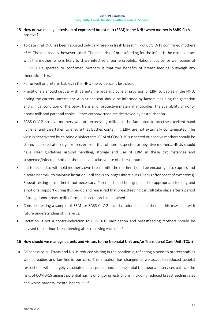## <span id="page-16-0"></span>15 How do we manage provision of expressed breast milk (EBM) in the NNU when mother is SARS-Co-V positive?

- To date viral RNA has been reported only very rarely in fresh breast milk of COVID-19 confirmed mothers  $(12,13)$ . The database is, however, small. The main risk of breastfeeding for the infant is the close contact with the mother, who is likely to share infective airborne droplets. National advice for well babies of COVID-19 suspected or confirmed mothers is that the [benefits of breast feeding outweigh any](https://hubble-live-assets.s3.amazonaws.com/bapm/redactor2_assets/files/562/Human_milk_and_SARS-CoV-2_-_A_summary_of_knowledge_to_date.pdf)  [theoretical risks.](https://hubble-live-assets.s3.amazonaws.com/bapm/redactor2_assets/files/562/Human_milk_and_SARS-CoV-2_-_A_summary_of_knowledge_to_date.pdf)
- For unwell or preterm babies in the NNU the evidence is less clear.
- Practitioners should discuss with parents the pros and cons of provision of EBM to babies in the NNU, noting the current uncertainty. A joint decision should be informed by factors including the gestation and clinical condition of the baby, transfer of protective maternal antibodies, the availability of donor breast milk and parental choice. Other coronaviruses are destroyed by pasteurisation.
- SARS-CoV-2 positive mothers who are expressing milk must be facilitated to practise excellent hand hygiene, and care taken to ensure that bottles containing EBM are not externally contaminated. The virus is deactivated by chlorine disinfectants. EBM of COVID-19 suspected or positive mothers should be stored in a separate fridge or freezer from that of non- suspected or negative mothers. NNUs should have clear guidelines around handling, storage and use of EBM in these circumstances and suspected/infected mothers should have exclusive use of a breast pump.
- If it is decided to withhold mother's own breast milk, the mother should be encouraged to express and discard her milk, to maintain lactation until she is no longer infectious (10 days after onset of symptoms). Repeat testing of mother is not necessary. Parents should be signposted to appropriate feeding and emotional support during this period and reassured that breastfeeding can still take place after a period of using donor breast milk / formula if lactation is maintained.
- Consider testing a sample of EBM for SARS-CoV-2 once lactation is established as this may help with future understanding of this virus.
- Lactation is not a contra-indication to COVID-19 vaccination and breastfeeding mothers should be advised to continue breastfeeding after receiving vaccine <sup>(14)</sup>.

## <span id="page-16-1"></span>16 How should we manage parents and visitors to the Neonatal Unit and/or Transitional Care Unit (TCU)?

• Of necessity, all Trusts and NNUs reduced visiting in the pandemic, reflecting a need to protect staff as well as babies and families in our care. This situation has changed as we adapt to reduced societal restrictions with a largely vaccinated adult population. It is essential that neonatal services balance the risks of COVID-19 against potential harms of ongoing restrictions, including reduced breastfeeding rates and worse parental mental health <sup>(15, 16)</sup>.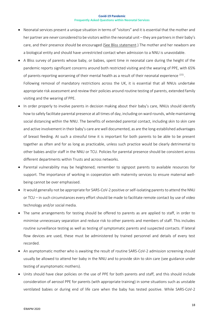- Neonatal services present a unique situation in terms of "visitors" and it is essential that the mother and her partner are *never* considered to be visitors within the neonatal unit – they are partners in their baby's care, and their presence should be encouraged [\(See Bliss statement.](https://www.bliss.org.uk/health-professionals/information-and-resources/parental-access-covid19)) The mother and her newborn are a biological entity and should have unrestricted contact when admission to a NNU is unavoidable.
- A Bliss survey of parents whose baby, or babies, spent time in neonatal care during the height of the pandemic reports significant concerns around both restricted visiting and the wearing of PPE, with 65% of parents reporting worsening of their mental health as a result of their neonatal experience <sup>(15)</sup>. Following removal of mandatory restrictions across the UK, it is essential that all NNUs undertake appropriate risk assessment and review their policies around routine testing of parents, extended family visiting and the wearing of PPE.
- In order properly to involve parents in decision making about their baby's care, NNUs should identify how to safely facilitate parental presence at all times of day, including on ward rounds, while maintaining social distancing within the NNU. The benefits of extended parental contact, including skin to skin care and active involvement in their baby's care are well documented, as are the long-established advantages of breast feeding. At such a stressful time it is important for both parents to be able to be present together as often and for as long as practicable, unless such practice would be clearly detrimental to other babies and/or staff in the NNU or TCU. Policies for parental presence should be consistent across different departments within Trusts and across networks.
- Parental vulnerability may be heightened; remember to signpost parents to available resources for support. The importance of working in cooperation with maternity services to ensure maternal wellbeing cannot be over emphasised.
- It would generally not be appropriate for SARS-CoV-2 positive or self-isolating parents to attend the NNU or TCU – in such circumstances every effort should be made to facilitate remote contact by use of video technology and/or social media.
- The same arrangements for testing should be offered to parents as are applied to staff, in order to minimise unnecessary separation and reduce risk to other parents and members of staff. This includes routine surveillance testing as well as testing of symptomatic parents and suspected contacts. If lateral flow devices are used, these must be administered by trained personnel and details of every test recorded.
- An asymptomatic mother who is awaiting the result of routine SARS-CoV-2 admission screening should usually be allowed to attend her baby in the NNU and to provide skin to skin care (see guidance under testing of asymptomatic mothers).
- Units should have clear policies on the use of PPE for both parents and staff, and this should include consideration of aerosol PPE for parents (with appropriate training) in some situations such as unstable ventilated babies or during end of life care when the baby has tested positive. While SARS-CoV-2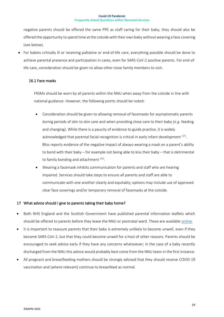negative parents should be offered the same PPE as staff caring for their baby, they should also be offered the opportunity to spend time at the cotside with their own baby without wearing a face covering (see below).

• For babies critically ill or receiving palliative or end-of-life care, everything possible should be done to achieve parental presence and participation in cares, even for SARS-CoV-2 positive parents. For end-oflife care, consideration should be given to allow other close family members to visit.

### 16.1 Face masks

FRSMs should be worn by all parents within the NNU when away from the cotside in line with national guidance. However, the following points should be noted:

- Consideration should be given to allowing removal of facemasks for asymptomatic parents during periods of skin to skin care and when providing close care to their baby (*e.g.* feeding and changing). While there is a paucity of evidence to guide practice, it is widely acknowledged that parental facial recognition is critical in early infant development  $^{\left( 17\right) }$ . Bliss reports evidence of the negative impact of always wearing a mask on a parent's ability to bond with their baby – for example not being able to kiss their baby – that is detrimental to family bonding and attachment <sup>(15)</sup>.
- Wearing a facemask inhibits communication for parents and staff who are hearing impaired. Services should take steps to ensure all parents and staff are able to communicate with one another clearly and equitably; options may include use of approved clear face coverings and/or temporary removal of facemasks at the cotside.

## <span id="page-18-0"></span>17 What advice should I give to parents taking their baby home?

- Both NHS England and the Scottish Government have published parental information leaflets which should be offered to parents before they leave the NNU or postnatal ward. These are available [online.](http://www.bapm.org/covid)
- It is important to reassure parents that their baby is extremely unlikely to become unwell, even if they become SARS-CoV-2, but that they could become unwell for a host of other reasons. Parents should be encouraged to seek advice early if they have any concerns whatsoever; in the case of a baby recently discharged from the NNU this advice would probably best come from the NNU team in the first instance.
- All pregnant and breastfeeding mothers should be strongly advised that they should receive COVID-19 vaccination and (where relevant) continue to breastfeed as normal.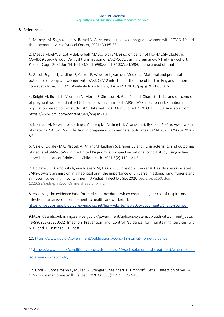## <span id="page-19-0"></span>18 References

1. Mirbeyk M, Saghazadeh A, Rezaei N. A systematic review of pregnant women with COVID-19 and their neonates. Arch Gynecol Obstet, 2021; 304:5-38.

2. [Maeda](https://www.ncbi.nlm.nih.gov/pubmed/?term=Maeda%20Md%5BAuthor%5D&cauthor=true&cauthor_uid=34101871) MdeFY, Brizot MdeL,Gibelli MABC, Ibidi SM, *et al*. on behalf of HC‐FMUSP‐Obstetric COVID19 Study Group. Vertical transmission of SARS‐CoV2 during pregnancy: A high‐risk cohort. [Prenat Diagn.](https://www.ncbi.nlm.nih.gov/pmc/articles/PMC8242902/) 2021 Jun 14:10.1002/pd.5980.doi: 10.1002/pd.5980 [Epub ahead of print]

3. Gurol-Urganci I, Jardine JE, Carroll F, Webster K, van der Meulen J. Maternal and perinatal outcomes of pregnant women with SARS-CoV-2 infection at the time of birth in England: nation cohort study. AGOJ 2021. Available from https://doi.org/10.1016/j.ajog.2021.05.016

4. Knight M, Bunch K, Vousden N, Morris E, Simpson N, Gale C, et al. Characteristics and outcomes of pregnant women admitted to hospital with confirmed SARS-CoV-2 infection in UK: national population based cohort study. BMJ [Internet]. 2020 Jun 8 [cited 2020 Oct 4];369. Available from: https://www.bmj.com/content/369/bmj.m2107

5. Norman M, Naver L, Soderling J, Ahlberg M, Askling HH, Aronsson B, Bystrom *E et al*. Association of maternal SARS-CoV-2 infection in pregnancy with neonatal outcomes. JAMA 2021;325(20):2076- 86.

6. Gale C, Quigley MA, Placzek A, Knight M, Ladhani S, Draper ES *et al.* Characteristics and outcomes of neonatal SARS-CoV-2 in the United Kingdom: a prospective national cohort study using active surveillance. Lancet Adolescent Child Health. 2021;5(2):113-121.5.

7. Holgate SL, Dramowski A, van Niekerk M, Hassan H, Prinsloo Y, Bekker A. Healthcare-associated SARS-CoV-2 transmission in a neonatal unit: the importance of universal masking, hand hygiene and symptom screening in containment. J Pediatr Infect Dis Soc 2020 Dec 2;piaa160. doi: 10.1093/jpids/piaa160. Online ahead of print.

8. Assessing the evidence base for medical procedures which create a higher risk of respiratory infection transmission from patient to healthcare worker. :15. [https://hpspubsrepo.blob.core.windows.net/hps-website/nss/3055/documents/1\\_agp-sbar.pdf](https://hpspubsrepo.blob.core.windows.net/hps-website/nss/3055/documents/1_agp-sbar.pdf)

9.https://assets.publishing.service.gov.uk/government/uploads/system/uploads/attachment\_data/f ile/990923/20210602 Infection Prevention and Control Guidance for maintaining services wit h\_H\_and\_C\_settings\_\_1\_.pdft

10.<https://www.gov.uk/government/publications/covid-19-stay-at-home-guidance>

11[.https://www.nhs.uk/conditions/coronavirus-covid-19/self-isolation-and-treatment/when-to-self](https://www.nhs.uk/conditions/coronavirus-covid-19/self-isolation-and-treatment/when-to-self-isolate-and-what-to-do/)[isolate-and-what-to-do/](https://www.nhs.uk/conditions/coronavirus-covid-19/self-isolation-and-treatment/when-to-self-isolate-and-what-to-do/)

12. Groß R, Conzelmann C, Müller JA, Stenger S, Steinhart K, Kirchhoff F, et al. Detection of SARS-CoV-2 in human breastmilk. Lancet. 2020 06;395(10239):1757–88.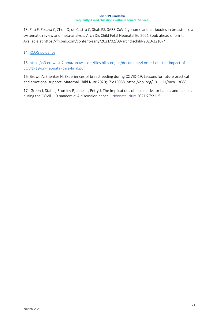13. Zhu F, Zozaya C, Zhou Q, de Castro C, Shah PS. SARS-CoV-2 genome and antibodies in breastmilk: a systematic review and meta-analysis. Arch Dis Child Fetal Neonatal Ed 2021 Epub ahead of print: Available at https://fn.bmj.com/content/early/2021/02/09/archdischild-2020-321074

## 14[. RCOG](https://www.england.nhs.uk/coronavirus/wp-content/uploads/sites/52/2020/12/C0961-Supporting-pregnant-women-using-maternity-services-during-the-coronavirus-pandemic-actions-for-NHS-provi.pdf) guidance

15[. https://s3.eu-west-2.amazonaws.com/files.bliss.org.uk/documents/Locked-out-the-impact-of-](https://s3.eu-west-2.amazonaws.com/files.bliss.org.uk/documents/Locked-out-the-impact-of-COVID-19-on-neonatal-care-final.pdf)[COVID-19-on-neonatal-care-final.pdf](https://s3.eu-west-2.amazonaws.com/files.bliss.org.uk/documents/Locked-out-the-impact-of-COVID-19-on-neonatal-care-final.pdf)

16. Brown A, Shenker N. Experiences of breastfeeding during COVID-19: Lessons for future practical and emotional support. Maternal Child Nutr 2020;17:e13088. https://doi.org/10.1111/mcn.13088

17. Green J, Staff L, Bromley P, Jones L, Petty J. The implications of face masks for babies and families during the COVID-19 pandemic: A discussion paper[. J Neonatal Nurs](https://www.ncbi.nlm.nih.gov/pmc/articles/PMC7598570/) 2021;27:21-5.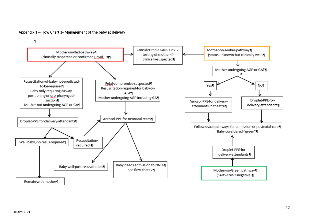## Appendix 1 – Flow Chart 1- Management of the baby at delivery

<span id="page-21-0"></span>